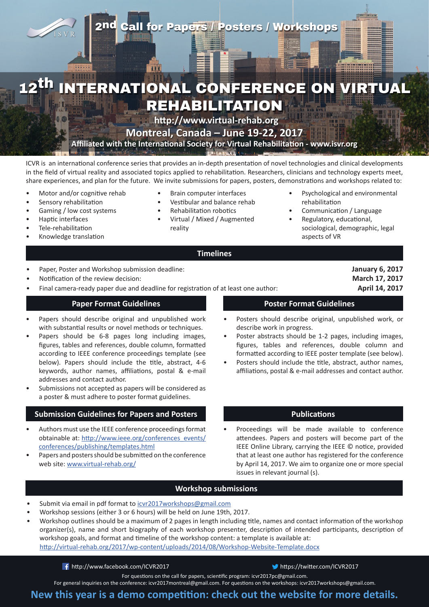## 2nd Call for Papers / Posters / Workshops

# INTERNATIONAL CONFERENCE ON VIRTUAL REHABILITATION

**<http://www.virtual-rehab.org>**

**Montreal, Canada – June 19-22, 2017**

**Affiliated with the International Society for Virtual Rehabilitation - [www.isvr.org](http://www.isvr.org)**

ICVR is an international conference series that provides an in-depth presentation of novel technologies and clinical developments in the field of virtual reality and associated topics applied to rehabilitation. Researchers, clinicians and technology experts meet, share experiences, and plan for the future. We invite submissions for papers, posters, demonstrations and workshops related to:

- Motor and/or cognitive rehab
- Sensory rehabilitation
- Gaming / low cost systems
- Haptic interfaces
- Tele-rehabilitation
- Knowledge translation
- Brain computer interfaces
- Vestibular and balance rehab
- Rehabilitation robotics
- Virtual / Mixed / Augmented reality
- Psychological and environmental rehabilitation
- Communication / Language
- Regulatory, educational, sociological, demographic, legal aspects of VR

### **Timelines**

- Paper, Poster and Workshop submission deadline: **January 6, 2017**
- Notification of the review decision: **March 17, 2017**
- Final camera-ready paper due and deadline for registration of at least one author: **April 14, 2017**

- Papers should describe original and unpublished work with substantial results or novel methods or techniques.
- Papers should be 6-8 pages long including images, figures, tables and references, double column, formatted according to IEEE conference proceedings template (see below). Papers should include the title, abstract, 4-6 keywords, author names, affiliations, postal & e-mail addresses and contact author.
- Submissions not accepted as papers will be considered as a poster & must adhere to poster format guidelines.

### **Submission Guidelines for Papers and Posters Publications Publications**

- Authors must use the IEEE conference proceedings format obtainable at: [http://www.ieee.org/conferences\\_events/](http://www.ieee.org/conferences_events/conferences/publishing/templates.html) [conferences/publishing/templates.html](http://www.ieee.org/conferences_events/conferences/publishing/templates.html)
- Papers and posters should be submitted on the conference web site: [www.virtual-rehab.org/](http://www.virtual-rehab.org/)

**Paper Format Guidelines Poster Format Guidelines** 

- Posters should describe original, unpublished work, or describe work in progress.
- Poster abstracts should be 1-2 pages, including images, figures, tables and references, double column and formatted according to IEEE poster template (see below).
- Posters should include the title, abstract, author names, affiliations, postal & e-mail addresses and contact author.

Proceedings will be made available to conference attendees. Papers and posters will become part of the IEEE Online Library, carrying the IEEE © notice, provided that at least one author has registered for the conference by April 14, 2017. We aim to organize one or more special issues in relevant journal (s).

### **Workshop submissions**

- Submit via email in pdf format to [icvr2017workshops@gmail.com](mailto:icvr2017workshops@gmail.com)
- Workshop sessions (either 3 or 6 hours) will be held on June 19th, 2017.
- Workshop outlines should be a maximum of 2 pages in length including title, names and contact information of the workshop organizer(s), name and short biography of each workshop presenter, description of intended participants, description of workshop goals, and format and timeline of the workshop content: a template is available at: [http://virtual-rehab.org/2017/wp-content/uploads/2014/08/Workshop-Website-Template.docx](http://virtual-rehab.org/2017/wp-content/uploads/2014/08/Workshop-Website-Template.docx )

**<http://www.facebook.com/ICVR2017> <https://twitter.com/ICVR2017>** 

For questions on the call for papers, scientific program: [icvr2017pc@gmail.com](mailto:icvr2017pc%40gmail.com?subject=).

For general inquiries on the conference: [icvr2017montreal@gmail.com.](mailto:icvr2017montreal@gmail.com) For questions on the workshops: [icvr2017workshops@gmail.com.](mailto:icvr2017workshops@gmail.com)

**New this year is a demo competition: check out the website for more details.**